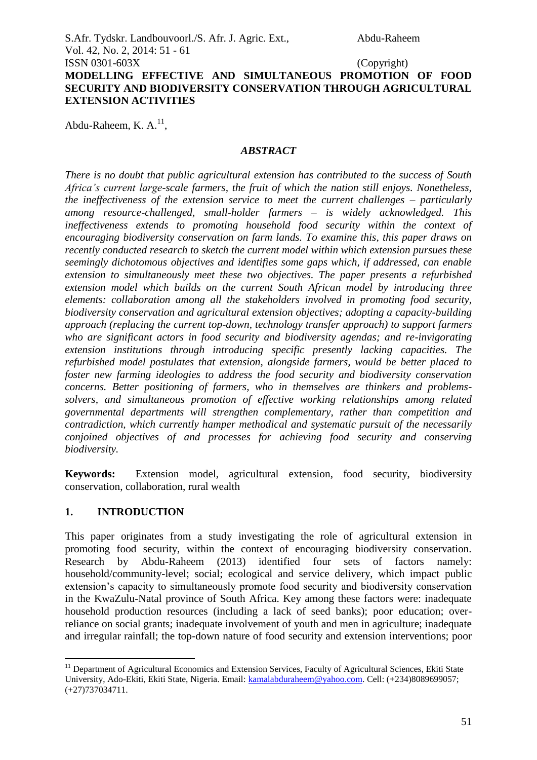S.Afr. Tydskr. Landbouvoorl./S. Afr. J. Agric. Ext., Abdu-Raheem Vol. 42, No. 2, 2014: 51 - 61

## ISSN 0301-603X (Copyright) **MODELLING EFFECTIVE AND SIMULTANEOUS PROMOTION OF FOOD SECURITY AND BIODIVERSITY CONSERVATION THROUGH AGRICULTURAL EXTENSION ACTIVITIES**

Abdu-Raheem, K. A.<sup>11</sup>,

## *ABSTRACT*

*There is no doubt that public agricultural extension has contributed to the success of South Africa's current large-scale farmers, the fruit of which the nation still enjoys. Nonetheless, the ineffectiveness of the extension service to meet the current challenges – particularly among resource-challenged, small-holder farmers – is widely acknowledged. This ineffectiveness extends to promoting household food security within the context of encouraging biodiversity conservation on farm lands. To examine this, this paper draws on recently conducted research to sketch the current model within which extension pursues these seemingly dichotomous objectives and identifies some gaps which, if addressed, can enable extension to simultaneously meet these two objectives. The paper presents a refurbished extension model which builds on the current South African model by introducing three elements: collaboration among all the stakeholders involved in promoting food security, biodiversity conservation and agricultural extension objectives; adopting a capacity-building approach (replacing the current top-down, technology transfer approach) to support farmers who are significant actors in food security and biodiversity agendas; and re-invigorating extension institutions through introducing specific presently lacking capacities. The refurbished model postulates that extension, alongside farmers, would be better placed to foster new farming ideologies to address the food security and biodiversity conservation concerns. Better positioning of farmers, who in themselves are thinkers and problemssolvers, and simultaneous promotion of effective working relationships among related governmental departments will strengthen complementary, rather than competition and contradiction, which currently hamper methodical and systematic pursuit of the necessarily conjoined objectives of and processes for achieving food security and conserving biodiversity.*

**Keywords:** Extension model, agricultural extension, food security, biodiversity conservation, collaboration, rural wealth

## **1. INTRODUCTION**

1

This paper originates from a study investigating the role of agricultural extension in promoting food security, within the context of encouraging biodiversity conservation. Research by Abdu-Raheem (2013) identified four sets of factors namely: household/community-level; social; ecological and service delivery, which impact public extension's capacity to simultaneously promote food security and biodiversity conservation in the KwaZulu-Natal province of South Africa. Key among these factors were: inadequate household production resources (including a lack of seed banks); poor education; overreliance on social grants; inadequate involvement of youth and men in agriculture; inadequate and irregular rainfall; the top-down nature of food security and extension interventions; poor

<sup>&</sup>lt;sup>11</sup> Department of Agricultural Economics and Extension Services, Faculty of Agricultural Sciences, Ekiti State University, Ado-Ekiti, Ekiti State, Nigeria. Email: [kamalabduraheem@yahoo.com.](mailto:kamalabduraheem@yahoo.com) Cell: (+234)8089699057; (+27)737034711.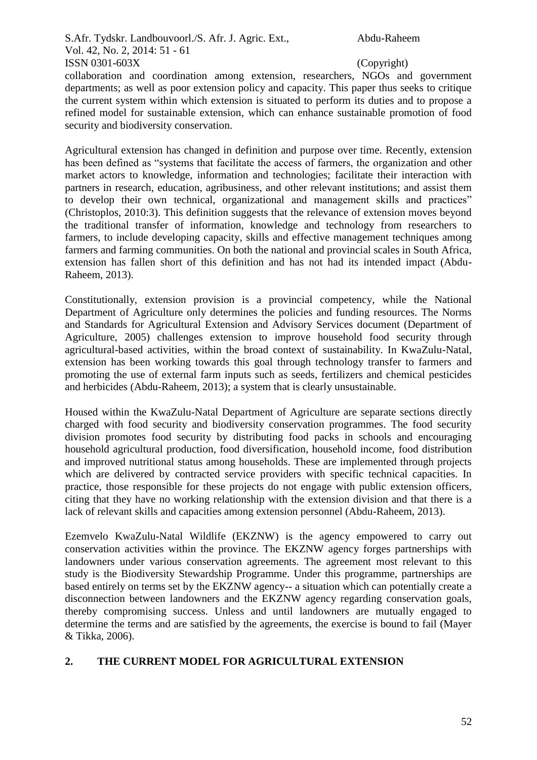collaboration and coordination among extension, researchers, NGOs and government departments; as well as poor extension policy and capacity. This paper thus seeks to critique the current system within which extension is situated to perform its duties and to propose a refined model for sustainable extension, which can enhance sustainable promotion of food security and biodiversity conservation.

Agricultural extension has changed in definition and purpose over time. Recently, extension has been defined as "systems that facilitate the access of farmers, the organization and other market actors to knowledge, information and technologies; facilitate their interaction with partners in research, education, agribusiness, and other relevant institutions; and assist them to develop their own technical, organizational and management skills and practices" (Christoplos, 2010:3). This definition suggests that the relevance of extension moves beyond the traditional transfer of information, knowledge and technology from researchers to farmers, to include developing capacity, skills and effective management techniques among farmers and farming communities. On both the national and provincial scales in South Africa, extension has fallen short of this definition and has not had its intended impact (Abdu-Raheem, 2013).

Constitutionally, extension provision is a provincial competency, while the National Department of Agriculture only determines the policies and funding resources. The Norms and Standards for Agricultural Extension and Advisory Services document (Department of Agriculture, 2005) challenges extension to improve household food security through agricultural-based activities, within the broad context of sustainability. In KwaZulu-Natal, extension has been working towards this goal through technology transfer to farmers and promoting the use of external farm inputs such as seeds, fertilizers and chemical pesticides and herbicides (Abdu-Raheem, 2013); a system that is clearly unsustainable.

Housed within the KwaZulu-Natal Department of Agriculture are separate sections directly charged with food security and biodiversity conservation programmes. The food security division promotes food security by distributing food packs in schools and encouraging household agricultural production, food diversification, household income, food distribution and improved nutritional status among households. These are implemented through projects which are delivered by contracted service providers with specific technical capacities. In practice, those responsible for these projects do not engage with public extension officers, citing that they have no working relationship with the extension division and that there is a lack of relevant skills and capacities among extension personnel (Abdu-Raheem, 2013).

Ezemvelo KwaZulu-Natal Wildlife (EKZNW) is the agency empowered to carry out conservation activities within the province. The EKZNW agency forges partnerships with landowners under various conservation agreements. The agreement most relevant to this study is the Biodiversity Stewardship Programme. Under this programme, partnerships are based entirely on terms set by the EKZNW agency-- a situation which can potentially create a disconnection between landowners and the EKZNW agency regarding conservation goals, thereby compromising success. Unless and until landowners are mutually engaged to determine the terms and are satisfied by the agreements, the exercise is bound to fail (Mayer & Tikka, 2006).

## **2. THE CURRENT MODEL FOR AGRICULTURAL EXTENSION**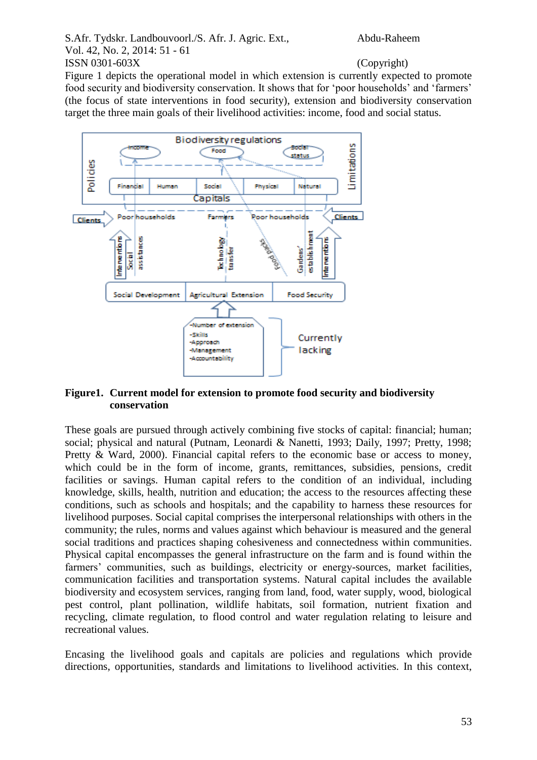Figure 1 depicts the operational model in which extension is currently expected to promote food security and biodiversity conservation. It shows that for 'poor households' and 'farmers' (the focus of state interventions in food security), extension and biodiversity conservation target the three main goals of their livelihood activities: income, food and social status.



## **Figure1. Current model for extension to promote food security and biodiversity conservation**

These goals are pursued through actively combining five stocks of capital: financial; human; social; physical and natural (Putnam, Leonardi & Nanetti, 1993; Daily, 1997; Pretty, 1998; Pretty & Ward, 2000). Financial capital refers to the economic base or access to money, which could be in the form of income, grants, remittances, subsidies, pensions, credit facilities or savings. Human capital refers to the condition of an individual, including knowledge, skills, health, nutrition and education; the access to the resources affecting these conditions, such as schools and hospitals; and the capability to harness these resources for livelihood purposes. Social capital comprises the interpersonal relationships with others in the community; the rules, norms and values against which behaviour is measured and the general social traditions and practices shaping cohesiveness and connectedness within communities. Physical capital encompasses the general infrastructure on the farm and is found within the farmers' communities, such as buildings, electricity or energy-sources, market facilities, communication facilities and transportation systems. Natural capital includes the available biodiversity and ecosystem services, ranging from land, food, water supply, wood, biological pest control, plant pollination, wildlife habitats, soil formation, nutrient fixation and recycling, climate regulation, to flood control and water regulation relating to leisure and recreational values.

Encasing the livelihood goals and capitals are policies and regulations which provide directions, opportunities, standards and limitations to livelihood activities. In this context,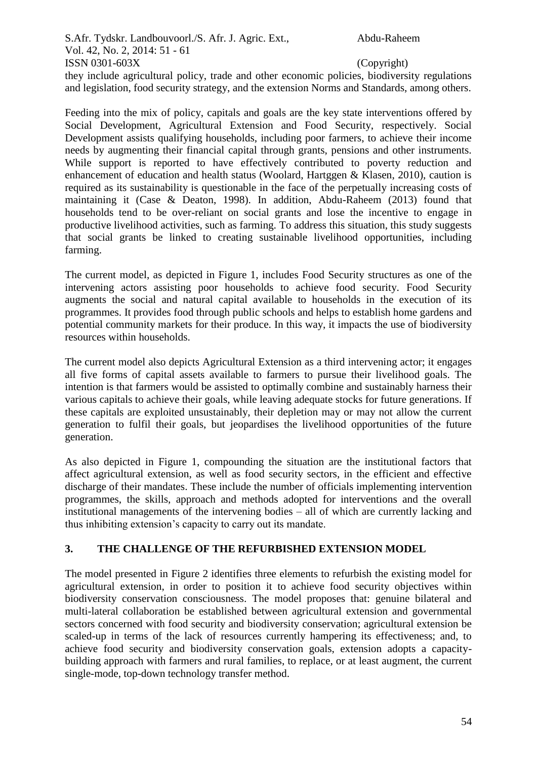they include agricultural policy, trade and other economic policies, biodiversity regulations and legislation, food security strategy, and the extension Norms and Standards, among others.

Feeding into the mix of policy, capitals and goals are the key state interventions offered by Social Development, Agricultural Extension and Food Security, respectively. Social Development assists qualifying households, including poor farmers, to achieve their income needs by augmenting their financial capital through grants, pensions and other instruments. While support is reported to have effectively contributed to poverty reduction and enhancement of education and health status (Woolard, Hartggen & Klasen, 2010), caution is required as its sustainability is questionable in the face of the perpetually increasing costs of maintaining it (Case & Deaton, 1998). In addition, Abdu-Raheem (2013) found that households tend to be over-reliant on social grants and lose the incentive to engage in productive livelihood activities, such as farming. To address this situation, this study suggests that social grants be linked to creating sustainable livelihood opportunities, including farming.

The current model, as depicted in Figure 1, includes Food Security structures as one of the intervening actors assisting poor households to achieve food security. Food Security augments the social and natural capital available to households in the execution of its programmes. It provides food through public schools and helps to establish home gardens and potential community markets for their produce. In this way, it impacts the use of biodiversity resources within households.

The current model also depicts Agricultural Extension as a third intervening actor; it engages all five forms of capital assets available to farmers to pursue their livelihood goals. The intention is that farmers would be assisted to optimally combine and sustainably harness their various capitals to achieve their goals, while leaving adequate stocks for future generations. If these capitals are exploited unsustainably, their depletion may or may not allow the current generation to fulfil their goals, but jeopardises the livelihood opportunities of the future generation.

As also depicted in Figure 1, compounding the situation are the institutional factors that affect agricultural extension, as well as food security sectors, in the efficient and effective discharge of their mandates. These include the number of officials implementing intervention programmes, the skills, approach and methods adopted for interventions and the overall institutional managements of the intervening bodies – all of which are currently lacking and thus inhibiting extension's capacity to carry out its mandate.

# **3. THE CHALLENGE OF THE REFURBISHED EXTENSION MODEL**

The model presented in Figure 2 identifies three elements to refurbish the existing model for agricultural extension, in order to position it to achieve food security objectives within biodiversity conservation consciousness. The model proposes that: genuine bilateral and multi-lateral collaboration be established between agricultural extension and governmental sectors concerned with food security and biodiversity conservation; agricultural extension be scaled-up in terms of the lack of resources currently hampering its effectiveness; and, to achieve food security and biodiversity conservation goals, extension adopts a capacitybuilding approach with farmers and rural families, to replace, or at least augment, the current single-mode, top-down technology transfer method.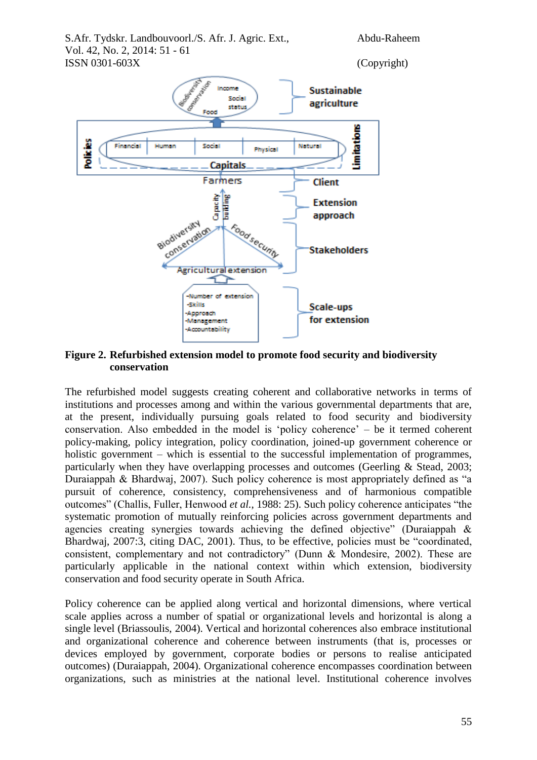

## **Figure 2. Refurbished extension model to promote food security and biodiversity conservation**

The refurbished model suggests creating coherent and collaborative networks in terms of institutions and processes among and within the various governmental departments that are, at the present, individually pursuing goals related to food security and biodiversity conservation. Also embedded in the model is 'policy coherence' – be it termed coherent policy-making, policy integration, policy coordination, joined-up government coherence or holistic government – which is essential to the successful implementation of programmes, particularly when they have overlapping processes and outcomes (Geerling & Stead, 2003; Duraiappah & Bhardwaj, 2007). Such policy coherence is most appropriately defined as "a pursuit of coherence, consistency, comprehensiveness and of harmonious compatible outcomes" (Challis, Fuller, Henwood *et al.*, 1988: 25). Such policy coherence anticipates "the systematic promotion of mutually reinforcing policies across government departments and agencies creating synergies towards achieving the defined objective" (Duraiappah  $\&$ Bhardwaj, 2007:3, citing DAC, 2001). Thus, to be effective, policies must be "coordinated, consistent, complementary and not contradictory" (Dunn & Mondesire, 2002). These are particularly applicable in the national context within which extension, biodiversity conservation and food security operate in South Africa.

Policy coherence can be applied along vertical and horizontal dimensions, where vertical scale applies across a number of spatial or organizational levels and horizontal is along a single level (Briassoulis, 2004). Vertical and horizontal coherences also embrace institutional and organizational coherence and coherence between instruments (that is, processes or devices employed by government, corporate bodies or persons to realise anticipated outcomes) (Duraiappah, 2004). Organizational coherence encompasses coordination between organizations, such as ministries at the national level. Institutional coherence involves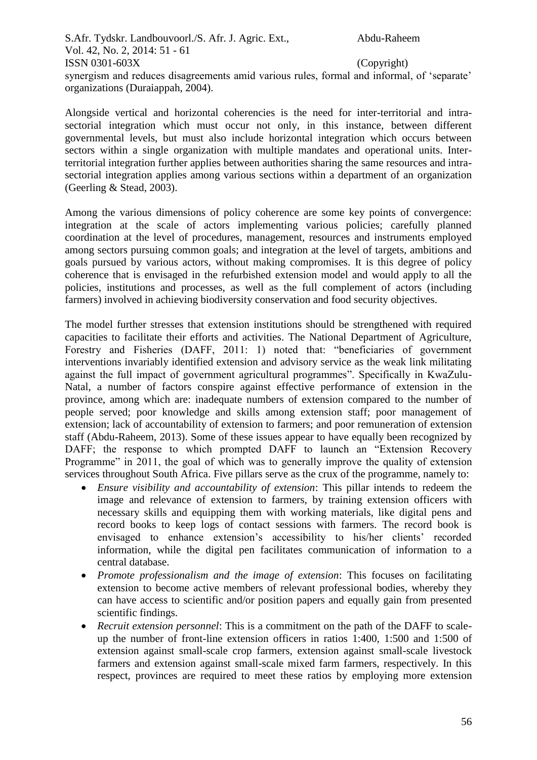synergism and reduces disagreements amid various rules, formal and informal, of 'separate' organizations (Duraiappah, 2004).

Alongside vertical and horizontal coherencies is the need for inter-territorial and intrasectorial integration which must occur not only, in this instance, between different governmental levels, but must also include horizontal integration which occurs between sectors within a single organization with multiple mandates and operational units. Interterritorial integration further applies between authorities sharing the same resources and intrasectorial integration applies among various sections within a department of an organization (Geerling & Stead, 2003).

Among the various dimensions of policy coherence are some key points of convergence: integration at the scale of actors implementing various policies; carefully planned coordination at the level of procedures, management, resources and instruments employed among sectors pursuing common goals; and integration at the level of targets, ambitions and goals pursued by various actors, without making compromises. It is this degree of policy coherence that is envisaged in the refurbished extension model and would apply to all the policies, institutions and processes, as well as the full complement of actors (including farmers) involved in achieving biodiversity conservation and food security objectives.

The model further stresses that extension institutions should be strengthened with required capacities to facilitate their efforts and activities. The National Department of Agriculture, Forestry and Fisheries (DAFF, 2011: 1) noted that: "beneficiaries of government interventions invariably identified extension and advisory service as the weak link militating against the full impact of government agricultural programmes". Specifically in KwaZulu-Natal, a number of factors conspire against effective performance of extension in the province, among which are: inadequate numbers of extension compared to the number of people served; poor knowledge and skills among extension staff; poor management of extension; lack of accountability of extension to farmers; and poor remuneration of extension staff (Abdu-Raheem, 2013). Some of these issues appear to have equally been recognized by DAFF; the response to which prompted DAFF to launch an "Extension Recovery Programme" in 2011, the goal of which was to generally improve the quality of extension services throughout South Africa. Five pillars serve as the crux of the programme, namely to:

- *Ensure visibility and accountability of extension*: This pillar intends to redeem the image and relevance of extension to farmers, by training extension officers with necessary skills and equipping them with working materials, like digital pens and record books to keep logs of contact sessions with farmers. The record book is envisaged to enhance extension's accessibility to his/her clients' recorded information, while the digital pen facilitates communication of information to a central database.
- *Promote professionalism and the image of extension*: This focuses on facilitating extension to become active members of relevant professional bodies, whereby they can have access to scientific and/or position papers and equally gain from presented scientific findings.
- *Recruit extension personnel*: This is a commitment on the path of the DAFF to scaleup the number of front-line extension officers in ratios 1:400, 1:500 and 1:500 of extension against small-scale crop farmers, extension against small-scale livestock farmers and extension against small-scale mixed farm farmers, respectively. In this respect, provinces are required to meet these ratios by employing more extension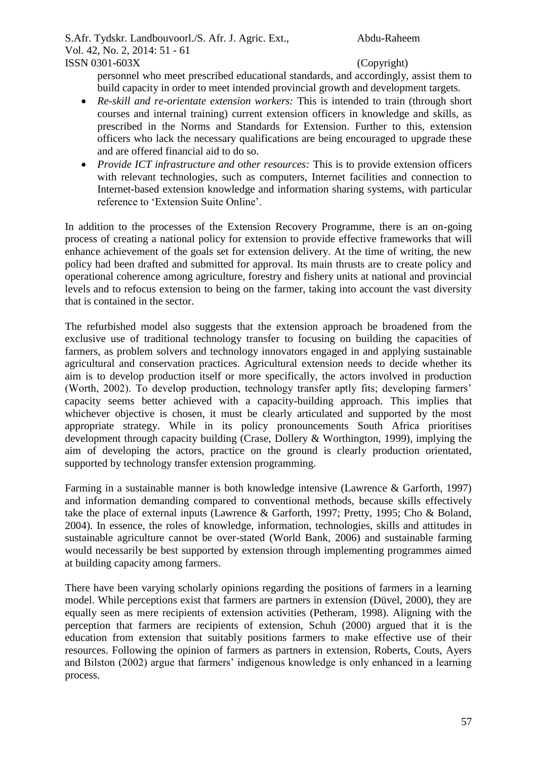personnel who meet prescribed educational standards, and accordingly, assist them to build capacity in order to meet intended provincial growth and development targets.

- *Re-skill and re-orientate extension workers:* This is intended to train (through short courses and internal training) current extension officers in knowledge and skills, as prescribed in the Norms and Standards for Extension. Further to this, extension officers who lack the necessary qualifications are being encouraged to upgrade these and are offered financial aid to do so.
- *Provide ICT infrastructure and other resources:* This is to provide extension officers with relevant technologies, such as computers, Internet facilities and connection to Internet-based extension knowledge and information sharing systems, with particular reference to 'Extension Suite Online'.

In addition to the processes of the Extension Recovery Programme, there is an on-going process of creating a national policy for extension to provide effective frameworks that will enhance achievement of the goals set for extension delivery. At the time of writing, the new policy had been drafted and submitted for approval. Its main thrusts are to create policy and operational coherence among agriculture, forestry and fishery units at national and provincial levels and to refocus extension to being on the farmer, taking into account the vast diversity that is contained in the sector.

The refurbished model also suggests that the extension approach be broadened from the exclusive use of traditional technology transfer to focusing on building the capacities of farmers, as problem solvers and technology innovators engaged in and applying sustainable agricultural and conservation practices. Agricultural extension needs to decide whether its aim is to develop production itself or more specifically, the actors involved in production (Worth, 2002). To develop production, technology transfer aptly fits; developing farmers' capacity seems better achieved with a capacity-building approach. This implies that whichever objective is chosen, it must be clearly articulated and supported by the most appropriate strategy. While in its policy pronouncements South Africa prioritises development through capacity building (Crase, Dollery & Worthington, 1999), implying the aim of developing the actors, practice on the ground is clearly production orientated, supported by technology transfer extension programming.

Farming in a sustainable manner is both knowledge intensive (Lawrence & Garforth, 1997) and information demanding compared to conventional methods, because skills effectively take the place of external inputs (Lawrence & Garforth, 1997; Pretty, 1995; Cho & Boland, 2004). In essence, the roles of knowledge, information, technologies, skills and attitudes in sustainable agriculture cannot be over-stated (World Bank, 2006) and sustainable farming would necessarily be best supported by extension through implementing programmes aimed at building capacity among farmers.

There have been varying scholarly opinions regarding the positions of farmers in a learning model. While perceptions exist that farmers are partners in extension (Düvel, 2000), they are equally seen as mere recipients of extension activities (Petheram, 1998). Aligning with the perception that farmers are recipients of extension, Schuh (2000) argued that it is the education from extension that suitably positions farmers to make effective use of their resources. Following the opinion of farmers as partners in extension, Roberts, Couts, Ayers and Bilston (2002) argue that farmers' indigenous knowledge is only enhanced in a learning process.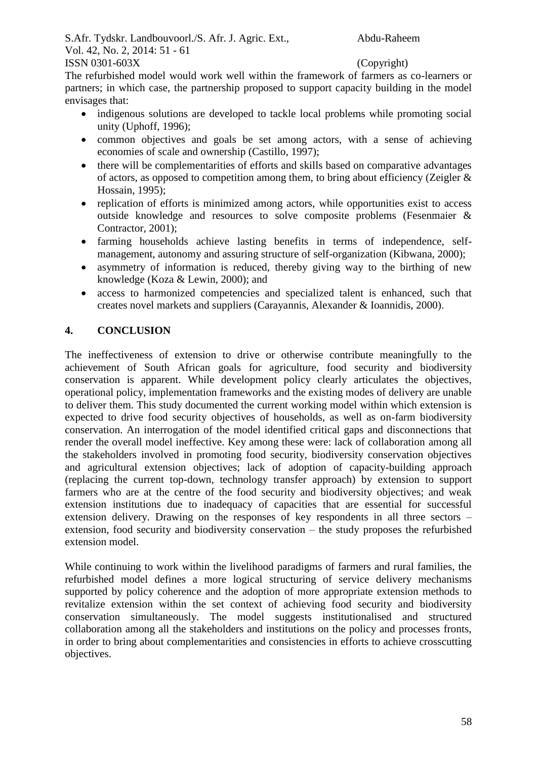The refurbished model would work well within the framework of farmers as co-learners or partners; in which case, the partnership proposed to support capacity building in the model envisages that:

- indigenous solutions are developed to tackle local problems while promoting social unity (Uphoff, 1996);
- common objectives and goals be set among actors, with a sense of achieving economies of scale and ownership (Castillo, 1997);
- there will be complementarities of efforts and skills based on comparative advantages of actors, as opposed to competition among them, to bring about efficiency (Zeigler & Hossain, 1995);
- replication of efforts is minimized among actors, while opportunities exist to access outside knowledge and resources to solve composite problems (Fesenmaier & Contractor, 2001);
- farming households achieve lasting benefits in terms of independence, selfmanagement, autonomy and assuring structure of self-organization (Kibwana, 2000);
- asymmetry of information is reduced, thereby giving way to the birthing of new knowledge (Koza & Lewin, 2000); and
- access to harmonized competencies and specialized talent is enhanced, such that creates novel markets and suppliers (Carayannis, Alexander & Ioannidis, 2000).

# **4. CONCLUSION**

The ineffectiveness of extension to drive or otherwise contribute meaningfully to the achievement of South African goals for agriculture, food security and biodiversity conservation is apparent. While development policy clearly articulates the objectives, operational policy, implementation frameworks and the existing modes of delivery are unable to deliver them. This study documented the current working model within which extension is expected to drive food security objectives of households, as well as on-farm biodiversity conservation. An interrogation of the model identified critical gaps and disconnections that render the overall model ineffective. Key among these were: lack of collaboration among all the stakeholders involved in promoting food security, biodiversity conservation objectives and agricultural extension objectives; lack of adoption of capacity-building approach (replacing the current top-down, technology transfer approach) by extension to support farmers who are at the centre of the food security and biodiversity objectives; and weak extension institutions due to inadequacy of capacities that are essential for successful extension delivery. Drawing on the responses of key respondents in all three sectors – extension, food security and biodiversity conservation – the study proposes the refurbished extension model.

While continuing to work within the livelihood paradigms of farmers and rural families, the refurbished model defines a more logical structuring of service delivery mechanisms supported by policy coherence and the adoption of more appropriate extension methods to revitalize extension within the set context of achieving food security and biodiversity conservation simultaneously. The model suggests institutionalised and structured collaboration among all the stakeholders and institutions on the policy and processes fronts, in order to bring about complementarities and consistencies in efforts to achieve crosscutting objectives.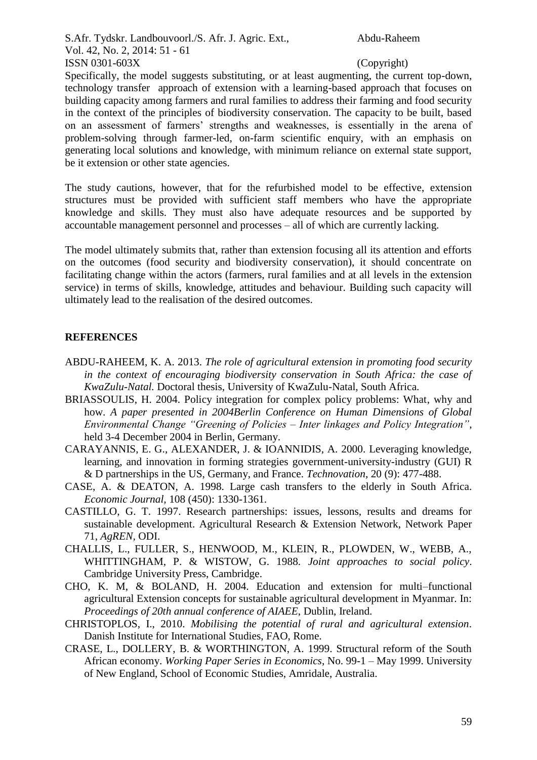Specifically, the model suggests substituting, or at least augmenting, the current top-down. technology transfer approach of extension with a learning-based approach that focuses on building capacity among farmers and rural families to address their farming and food security in the context of the principles of biodiversity conservation. The capacity to be built, based on an assessment of farmers' strengths and weaknesses, is essentially in the arena of problem-solving through farmer-led, on-farm scientific enquiry, with an emphasis on generating local solutions and knowledge, with minimum reliance on external state support, be it extension or other state agencies.

The study cautions, however, that for the refurbished model to be effective, extension structures must be provided with sufficient staff members who have the appropriate knowledge and skills. They must also have adequate resources and be supported by accountable management personnel and processes – all of which are currently lacking.

The model ultimately submits that, rather than extension focusing all its attention and efforts on the outcomes (food security and biodiversity conservation), it should concentrate on facilitating change within the actors (farmers, rural families and at all levels in the extension service) in terms of skills, knowledge, attitudes and behaviour. Building such capacity will ultimately lead to the realisation of the desired outcomes.

## **REFERENCES**

- ABDU-RAHEEM, K. A. 2013. *The role of agricultural extension in promoting food security in the context of encouraging biodiversity conservation in South Africa: the case of KwaZulu-Natal.* Doctoral thesis, University of KwaZulu-Natal, South Africa.
- BRIASSOULIS, H. 2004. Policy integration for complex policy problems: What, why and how. *A paper presented in 2004Berlin Conference on Human Dimensions of Global Environmental Change "Greening of Policies – Inter linkages and Policy Integration"*, held 3-4 December 2004 in Berlin, Germany.
- CARAYANNIS, E. G., ALEXANDER, J. & IOANNIDIS, A. 2000. Leveraging knowledge, learning, and innovation in forming strategies government-university-industry (GUI) R & D partnerships in the US, Germany, and France. *Technovation*, 20 (9): 477-488.
- CASE, A. & DEATON, A. 1998. Large cash transfers to the elderly in South Africa. *Economic Journal,* 108 (450): 1330-1361.
- CASTILLO, G. T. 1997. Research partnerships: issues, lessons, results and dreams for sustainable development. Agricultural Research & Extension Network, Network Paper 71, *AgREN,* ODI.
- CHALLIS, L., FULLER, S., HENWOOD, M., KLEIN, R., PLOWDEN, W., WEBB, A., WHITTINGHAM, P. & WISTOW, G. 1988. *Joint approaches to social policy*. Cambridge University Press, Cambridge.
- CHO, K. M, & BOLAND, H. 2004. Education and extension for multi–functional agricultural Extension concepts for sustainable agricultural development in Myanmar. In: *Proceedings of 20th annual conference of AIAEE*, Dublin, Ireland.
- CHRISTOPLOS, I., 2010. *Mobilising the potential of rural and agricultural extension*. Danish Institute for International Studies, FAO, Rome.
- CRASE, L., DOLLERY, B. & WORTHINGTON, A. 1999. Structural reform of the South African economy. *Working Paper Series in Economics*, No. 99-1 – May 1999. University of New England, School of Economic Studies, Amridale, Australia.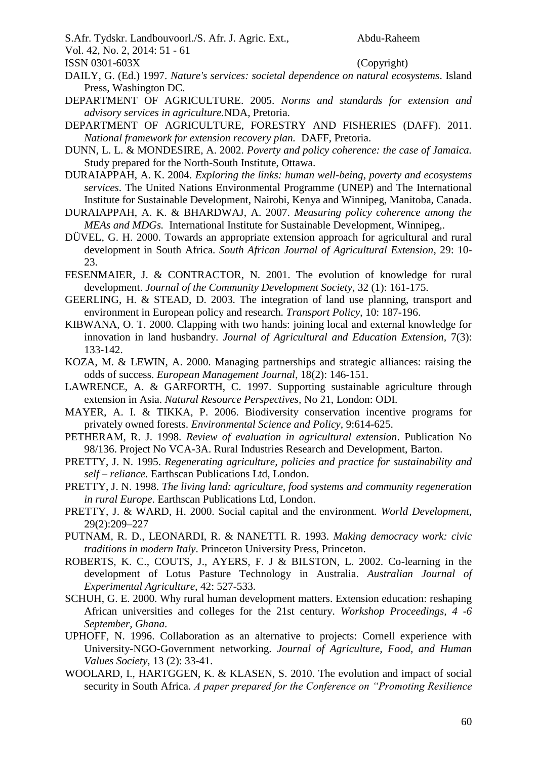S.Afr. Tydskr. Landbouvoorl./S. Afr. J. Agric. Ext., Abdu-Raheem

Vol. 42, No. 2, 2014: 51 - 61

ISSN 0301-603X (Copyright)

- DAILY, G. (Ed.) 1997. *Nature's services: societal dependence on natural ecosystems*. Island Press, Washington DC.
- DEPARTMENT OF AGRICULTURE. 2005. *Norms and standards for extension and advisory services in agriculture.*NDA, Pretoria.
- DEPARTMENT OF AGRICULTURE, FORESTRY AND FISHERIES (DAFF). 2011. *National framework for extension recovery plan.* DAFF, Pretoria.
- DUNN, L. L. & MONDESIRE, A. 2002. *Poverty and policy coherence: the case of Jamaica.*  Study prepared for the North-South Institute, Ottawa.
- DURAIAPPAH, A. K. 2004. *Exploring the links: human well-being, poverty and ecosystems services*. The United Nations Environmental Programme (UNEP) and The International Institute for Sustainable Development, Nairobi, Kenya and Winnipeg, Manitoba, Canada.
- DURAIAPPAH, A. K. & BHARDWAJ, A. 2007. *Measuring policy coherence among the MEAs and MDGs.* International Institute for Sustainable Development, Winnipeg,.
- DÜVEL, G. H. 2000. Towards an appropriate extension approach for agricultural and rural development in South Africa. *South African Journal of Agricultural Extension*, 29: 10- 23.
- FESENMAIER, J. & CONTRACTOR, N. 2001. The evolution of knowledge for rural development. *Journal of the Community Development Society*, 32 (1): 161-175.
- GEERLING, H. & STEAD, D. 2003. The integration of land use planning, transport and environment in European policy and research. *Transport Policy*, 10: 187-196.
- KIBWANA, O. T. 2000. Clapping with two hands: joining local and external knowledge for innovation in land husbandry. *Journal of Agricultural and Education Extension,* 7(3): 133-142.
- KOZA, M. & LEWIN, A. 2000. Managing partnerships and strategic alliances: raising the odds of success. *European Management Journal*, 18(2): 146-151.
- LAWRENCE, A. & GARFORTH, C. 1997. Supporting sustainable agriculture through extension in Asia. *Natural Resource Perspectives,* No 21, London: ODI.
- MAYER, A. I. & TIKKA, P. 2006. Biodiversity conservation incentive programs for privately owned forests. *Environmental Science and Policy*, 9:614-625.
- PETHERAM, R. J. 1998. *Review of evaluation in agricultural extension*. Publication No 98/136. Project No VCA-3A. Rural Industries Research and Development, Barton.
- PRETTY, J. N. 1995. *Regenerating agriculture, policies and practice for sustainability and self – reliance.* Earthscan Publications Ltd, London.
- PRETTY, J. N. 1998. *The living land: agriculture, food systems and community regeneration in rural Europe*. Earthscan Publications Ltd, London.
- PRETTY, J. & WARD, H. 2000. Social capital and the environment. *World Development,* 29(2):209–227
- PUTNAM, R. D., LEONARDI, R. & NANETTI. R. 1993. *Making democracy work: civic traditions in modern Italy*. Princeton University Press, Princeton.
- ROBERTS, K. C., COUTS, J., AYERS, F. J & BILSTON, L. 2002. Co-learning in the development of Lotus Pasture Technology in Australia. *Australian Journal of Experimental Agriculture*, 42: 527-533.
- SCHUH, G. E. 2000. Why rural human development matters. Extension education: reshaping African universities and colleges for the 21st century. *Workshop Proceedings, 4 -6 September, Ghana*.
- UPHOFF, N. 1996. Collaboration as an alternative to projects: Cornell experience with University-NGO-Government networking. *Journal of Agriculture, Food, and Human Values Society*, 13 (2): 33-41.
- WOOLARD, I., HARTGGEN, K. & KLASEN, S. 2010. The evolution and impact of social security in South Africa. *A paper prepared for the Conference on "Promoting Resilience*